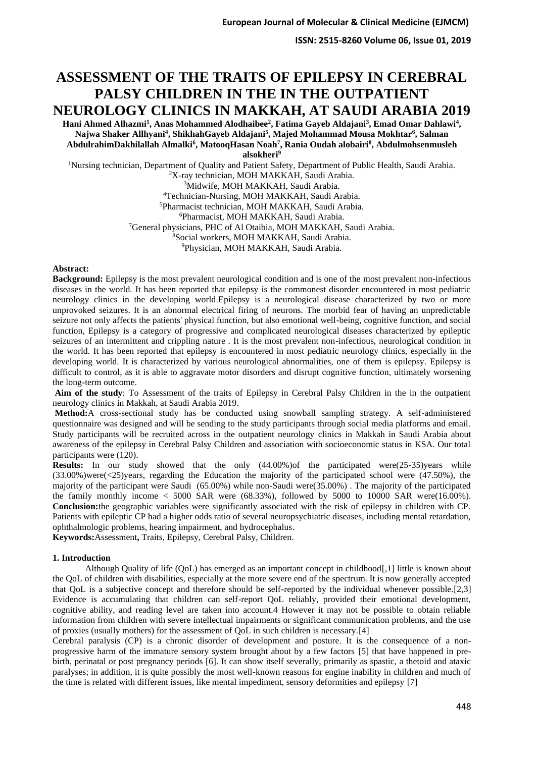**ISSN: 2515-8260 Volume 06, Issue 01, 2019**

# **ASSESSMENT OF THE TRAITS OF EPILEPSY IN CEREBRAL PALSY CHILDREN IN THE IN THE OUTPATIENT NEUROLOGY CLINICS IN MAKKAH, AT SAUDI ARABIA 2019**

**Hani Ahmed Alhazmi<sup>1</sup> , Anas Mohammed Alodhaibee<sup>2</sup> , Fatima Gayeb Aldajani<sup>3</sup> , Emad Omar Dahlawi<sup>4</sup> , Najwa Shaker Allhyani<sup>4</sup> , ShikhahGayeb Aldajani<sup>5</sup> , Majed Mohammad Mousa Mokhtar<sup>6</sup> , Salman AbdulrahimDakhilallah Almalki<sup>6</sup> , MatooqHasan Noah<sup>7</sup> , Rania Oudah alobairi<sup>8</sup> , Abdulmohsenmusleh** 

**alsokheri<sup>9</sup>**

<sup>1</sup>Nursing technician, Department of Quality and Patient Safety, Department of Public Health, Saudi Arabia. <sup>2</sup>X-ray technician, MOH MAKKAH, Saudi Arabia. <sup>3</sup>Midwife, MOH MAKKAH, Saudi Arabia.

<sup>4</sup>Technician-Nursing, MOH MAKKAH, Saudi Arabia.

<sup>5</sup>Pharmacist technician, MOH MAKKAH, Saudi Arabia.

<sup>6</sup>Pharmacist, MOH MAKKAH, Saudi Arabia.

<sup>7</sup>General physicians, PHC of Al Otaibia, MOH MAKKAH, Saudi Arabia.

<sup>8</sup>Social workers, MOH MAKKAH, Saudi Arabia.

<sup>9</sup>Physician, MOH MAKKAH, Saudi Arabia.

### **Abstract:**

**Background:** Epilepsy is the most prevalent neurological condition and is one of the most prevalent non-infectious diseases in the world. It has been reported that epilepsy is the commonest disorder encountered in most pediatric neurology clinics in the developing world.Epilepsy is a neurological disease characterized by two or more unprovoked seizures. It is an abnormal electrical firing of neurons. The morbid fear of having an unpredictable seizure not only affects the patients' physical function, but also emotional well-being, cognitive function, and social function, Epilepsy is a category of progressive and complicated neurological diseases characterized by epileptic seizures of an intermittent and crippling nature . It is the most prevalent non-infectious, neurological condition in the world. It has been reported that epilepsy is encountered in most pediatric neurology clinics, especially in the developing world. It is characterized by various neurological abnormalities, one of them is epilepsy. Epilepsy is difficult to control, as it is able to aggravate motor disorders and disrupt cognitive function, ultimately worsening the long-term outcome.

Aim of the study: To Assessment of the traits of Epilepsy in Cerebral Palsy Children in the in the outpatient neurology clinics in Makkah, at Saudi Arabia 2019.

**Method:**A cross-sectional study has be conducted using snowball sampling strategy. A self-administered questionnaire was designed and will be sending to the study participants through social media platforms and email. Study participants will be recruited across in the outpatient neurology clinics in Makkah in Saudi Arabia about awareness of the epilepsy in Cerebral Palsy Children and association with socioeconomic status in KSA. Our total participants were (120).

**Results:** In our study showed that the only (44.00%)of the participated were(25-35)years while (33.00%)were(<25)years, regarding the Education the majority of the participated school were (47.50%), the majority of the participant were Saudi (65.00%) while non-Saudi were(35.00%) . The majority of the participated the family monthly income  $<$  5000 SAR were (68.33%), followed by 5000 to 10000 SAR were(16.00%). **Conclusion:**the geographic variables were significantly associated with the risk of epilepsy in children with CP. Patients with epileptic CP had a higher odds ratio of several neuropsychiatric diseases, including mental retardation, ophthalmologic problems, hearing impairment, and hydrocephalus.

**Keywords:**Assessment**,** Traits, Epilepsy, Cerebral Palsy, Children.

## **1. Introduction**

Although Quality of life (QoL) has emerged as an important concept in childhood[,1] little is known about the QoL of children with disabilities, especially at the more severe end of the spectrum. It is now generally accepted that QoL is a subjective concept and therefore should be self-reported by the individual whenever possible.[2,3] Evidence is accumulating that children can self-report QoL reliably, provided their emotional development, cognitive ability, and reading level are taken into account.4 However it may not be possible to obtain reliable information from children with severe intellectual impairments or significant communication problems, and the use of proxies (usually mothers) for the assessment of QoL in such children is necessary.[4]

Cerebral paralysis (CP) is a chronic disorder of development and posture. It is the consequence of a nonprogressive harm of the immature sensory system brought about by a few factors [5] that have happened in prebirth, perinatal or post pregnancy periods [6]. It can show itself severally, primarily as spastic, a thetoid and ataxic paralyses; in addition, it is quite possibly the most well-known reasons for engine inability in children and much of the time is related with different issues, like mental impediment, sensory deformities and epilepsy [7]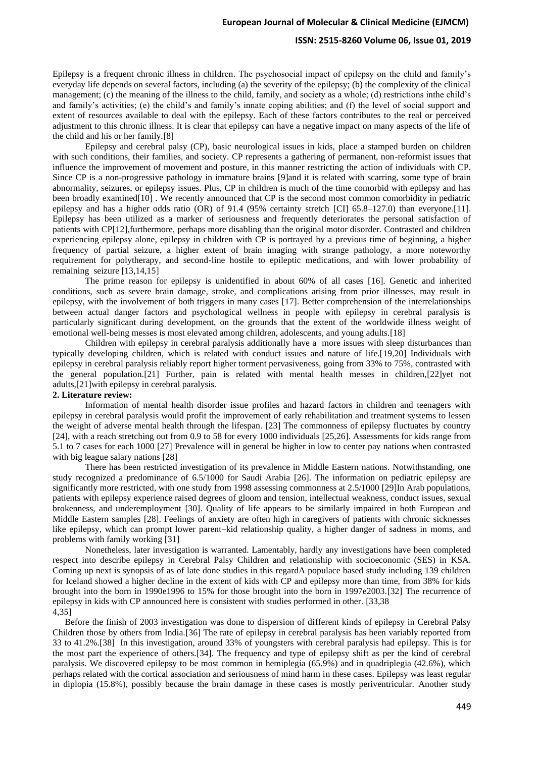#### **ISSN: 2515-8260 Volume 06, Issue 01, 2019**

Epilepsy is a frequent chronic illness in children. The psychosocial impact of epilepsy on the child and family's everyday life depends on several factors, including (a) the severity of the epilepsy; (b) the complexity of the clinical management; (c) the meaning of the illness to the child, family, and society as a whole; (d) restrictions inthe child's and family's activities; (e) the child's and family's innate coping abilities; and (f) the level of social support and extent of resources available to deal with the epilepsy. Each of these factors contributes to the real or perceived adjustment to this chronic illness. It is clear that epilepsy can have a negative impact on many aspects of the life of the child and his or her family.[8]

Epilepsy and cerebral palsy (CP), basic neurological issues in kids, place a stamped burden on children with such conditions, their families, and society. CP represents a gathering of permanent, non-reformist issues that influence the improvement of movement and posture, in this manner restricting the action of individuals with CP. Since CP is a non-progressive pathology in immature brains [9]and it is related with scarring, some type of brain abnormality, seizures, or epilepsy issues. Plus, CP in children is much of the time comorbid with epilepsy and has been broadly examined[10] . We recently announced that CP is the second most common comorbidity in pediatric epilepsy and has a higher odds ratio (OR) of 91.4 (95% certainty stretch [CI] 65.8–127.0) than everyone.[11]. Epilepsy has been utilized as a marker of seriousness and frequently deteriorates the personal satisfaction of patients with CP[12],furthermore, perhaps more disabling than the original motor disorder. Contrasted and children experiencing epilepsy alone, epilepsy in children with CP is portrayed by a previous time of beginning, a higher frequency of partial seizure, a higher extent of brain imaging with strange pathology, a more noteworthy requirement for polytherapy, and second-line hostile to epileptic medications, and with lower probability of remaining seizure [13,14,15]

The prime reason for epilepsy is unidentified in about 60% of all cases [16]. Genetic and inherited conditions, such as severe brain damage, stroke, and complications arising from prior illnesses, may result in epilepsy, with the involvement of both triggers in many cases [17]. Better comprehension of the interrelationships between actual danger factors and psychological wellness in people with epilepsy in cerebral paralysis is particularly significant during development, on the grounds that the extent of the worldwide illness weight of emotional well-being messes is most elevated among children, adolescents, and young adults.[18]

Children with epilepsy in cerebral paralysis additionally have a more issues with sleep disturbances than typically developing children, which is related with conduct issues and nature of life.[19,20] Individuals with epilepsy in cerebral paralysis reliably report higher torment pervasiveness, going from 33% to 75%, contrasted with the general population.[21] Further, pain is related with mental health messes in children,[22]yet not adults,[21]with epilepsy in cerebral paralysis.

#### **2. Literature review:**

Information of mental health disorder issue profiles and hazard factors in children and teenagers with epilepsy in cerebral paralysis would profit the improvement of early rehabilitation and treatment systems to lessen the weight of adverse mental health through the lifespan. [23] The commonness of epilepsy fluctuates by country [24], with a reach stretching out from 0.9 to 58 for every 1000 individuals [25,26]. Assessments for kids range from 5.1 to 7 cases for each 1000 [27] Prevalence will in general be higher in low to center pay nations when contrasted with big league salary nations [28]

There has been restricted investigation of its prevalence in Middle Eastern nations. Notwithstanding, one study recognized a predominance of 6.5/1000 for Saudi Arabia [26]. The information on pediatric epilepsy are significantly more restricted, with one study from 1998 assessing commonness at 2.5/1000 [29]In Arab populations, patients with epilepsy experience raised degrees of gloom and tension, intellectual weakness, conduct issues, sexual brokenness, and underemployment [30]. Quality of life appears to be similarly impaired in both European and Middle Eastern samples [28]. Feelings of anxiety are often high in caregivers of patients with chronic sicknesses like epilepsy, which can prompt lower parent–kid relationship quality, a higher danger of sadness in moms, and problems with family working [31]

Nonetheless, later investigation is warranted. Lamentably, hardly any investigations have been completed respect into describe epilepsy in Cerebral Palsy Children and relationship with socioeconomic (SES) in KSA. Coming up next is synopsis of as of late done studies in this regardA populace based study including 139 children for Iceland showed a higher decline in the extent of kids with CP and epilepsy more than time, from 38% for kids brought into the born in 1990e1996 to 15% for those brought into the born in 1997e2003.[32] The recurrence of epilepsy in kids with CP announced here is consistent with studies performed in other. [33,38 4,35]

Before the finish of 2003 investigation was done to dispersion of different kinds of epilepsy in Cerebral Palsy Children those by others from India.[36] The rate of epilepsy in cerebral paralysis has been variably reported from 33 to 41.2%.[38] In this investigation, around 33% of youngsters with cerebral paralysis had epilepsy. This is for the most part the experience of others.[34]. The frequency and type of epilepsy shift as per the kind of cerebral paralysis. We discovered epilepsy to be most common in hemiplegia (65.9%) and in quadriplegia (42.6%), which perhaps related with the cortical association and seriousness of mind harm in these cases. Epilepsy was least regular in diplopia (15.8%), possibly because the brain damage in these cases is mostly periventricular. Another study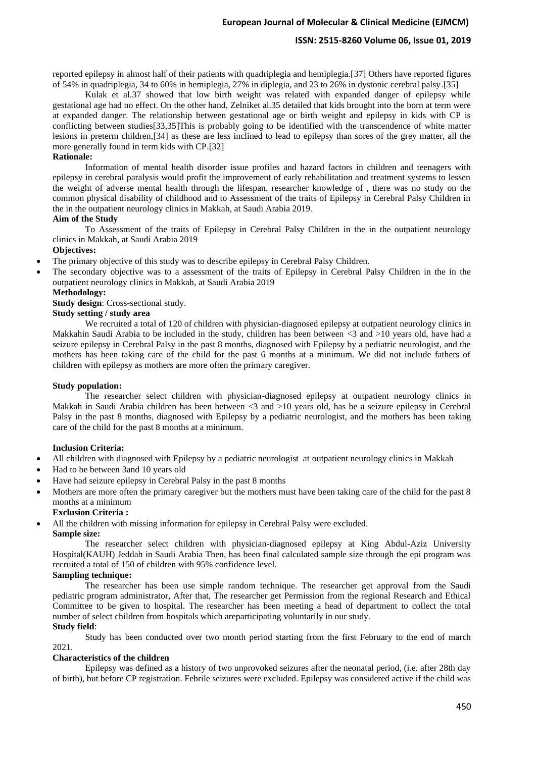# **ISSN: 2515-8260 Volume 06, Issue 01, 2019**

reported epilepsy in almost half of their patients with quadriplegia and hemiplegia.[37] Others have reported figures of 54% in quadriplegia, 34 to 60% in hemiplegia, 27% in diplegia, and 23 to 26% in dystonic cerebral palsy.[35]

Kulak et al.37 showed that low birth weight was related with expanded danger of epilepsy while gestational age had no effect. On the other hand, Zelniket al.35 detailed that kids brought into the born at term were at expanded danger. The relationship between gestational age or birth weight and epilepsy in kids with CP is conflicting between studies[33,35]This is probably going to be identified with the transcendence of white matter lesions in preterm children,[34] as these are less inclined to lead to epilepsy than sores of the grey matter, all the more generally found in term kids with CP.[32]

## **Rationale:**

Information of mental health disorder issue profiles and hazard factors in children and teenagers with epilepsy in cerebral paralysis would profit the improvement of early rehabilitation and treatment systems to lessen the weight of adverse mental health through the lifespan. researcher knowledge of , there was no study on the common physical disability of childhood and to Assessment of the traits of Epilepsy in Cerebral Palsy Children in the in the outpatient neurology clinics in Makkah, at Saudi Arabia 2019.

#### **Aim of the Study**

To Assessment of the traits of Epilepsy in Cerebral Palsy Children in the in the outpatient neurology clinics in Makkah, at Saudi Arabia 2019

# **Objectives:**

- The primary objective of this study was to describe epilepsy in Cerebral Palsy Children.
- The secondary objective was to a assessment of the traits of Epilepsy in Cerebral Palsy Children in the in the outpatient neurology clinics in Makkah, at Saudi Arabia 2019

## **Methodology:**

**Study design**: Cross-sectional study.

# **Study setting / study area**

We recruited a total of 120 of children with physician-diagnosed epilepsy at outpatient neurology clinics in Makkahin Saudi Arabia to be included in the study, children has been between <3 and >10 years old, have had a seizure epilepsy in Cerebral Palsy in the past 8 months, diagnosed with Epilepsy by a pediatric neurologist, and the mothers has been taking care of the child for the past 6 months at a minimum. We did not include fathers of children with epilepsy as mothers are more often the primary caregiver.

#### **Study population:**

The researcher select children with physician-diagnosed epilepsy at outpatient neurology clinics in Makkah in Saudi Arabia children has been between <3 and >10 years old, has be a seizure epilepsy in Cerebral Palsy in the past 8 months, diagnosed with Epilepsy by a pediatric neurologist, and the mothers has been taking care of the child for the past 8 months at a minimum.

## **Inclusion Criteria:**

- All children with diagnosed with Epilepsy by a pediatric neurologist at outpatient neurology clinics in Makkah
- Had to be between 3and 10 years old
- Have had seizure epilepsy in Cerebral Palsy in the past 8 months
- Mothers are more often the primary caregiver but the mothers must have been taking care of the child for the past 8 months at a minimum

#### **Exclusion Criteria :**

- All the children with missing information for epilepsy in Cerebral Palsy were excluded.
	- **Sample size:**

The researcher select children with physician-diagnosed epilepsy at King Abdul-Aziz University Hospital(KAUH) Jeddah in Saudi Arabia Then, has been final calculated sample size through the epi program was recruited a total of 150 of children with 95% confidence level.

# **Sampling technique:**

The researcher has been use simple random technique. The researcher get approval from the Saudi pediatric program administrator, After that, The researcher get Permission from the regional Research and Ethical Committee to be given to hospital. The researcher has been meeting a head of department to collect the total number of select children from hospitals which areparticipating voluntarily in our study .

# **Study field**:

Study has been conducted over two month period starting from the first February to the end of march 2021 .

# **Characteristics of the children**

Epilepsy was defined as a history of two unprovoked seizures after the neonatal period, (i.e. after 28th day of birth), but before CP registration. Febrile seizures were excluded. Epilepsy was considered active if the child was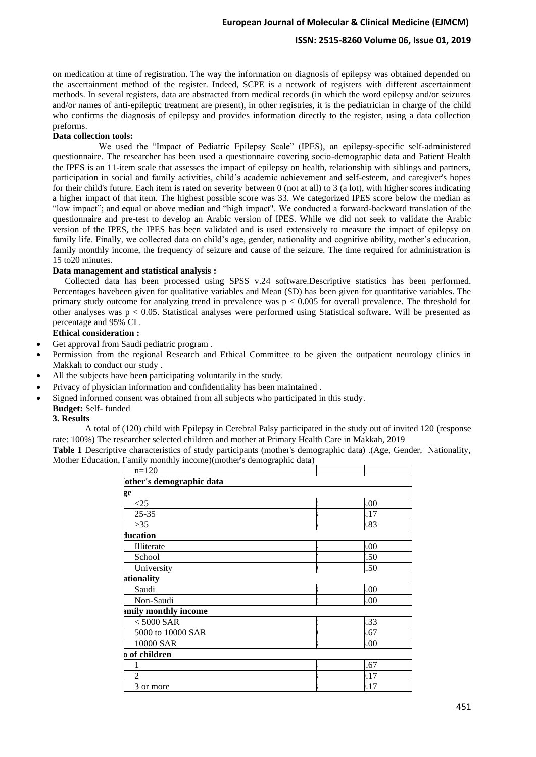## **ISSN: 2515-8260 Volume 06, Issue 01, 2019**

on medication at time of registration. The way the information on diagnosis of epilepsy was obtained depended on the ascertainment method of the register. Indeed, SCPE is a network of registers with different ascertainment methods. In several registers, data are abstracted from medical records (in which the word epilepsy and/or seizures and/or names of anti-epileptic treatment are present), in other registries, it is the pediatrician in charge of the child who confirms the diagnosis of epilepsy and provides information directly to the register, using a data collection preforms.

### Data collection tools:

 We used the "Impact of Pediatric Epilepsy Scale" (IPES), an epilepsy-specific self-administered questionnaire. The researcher has been used a questionnaire covering socio-demographic data and Patient Health the IPES is an 11-item scale that assesses the impact of epilepsy on health, relationship with siblings and partners, participation in social and family activities, child's academic achievement and self-esteem, and caregiver's hopes for their child's future. Each item is rated on severity between 0 (not at all) to 3 (a lot), with higher scores indicating a higher impact of that item. The highest possible score was 33. We categorized IPES score below the median as "low impact"; and equal or above median and "high impact". We conducted a forward-backward translation of the questionnaire and pre-test to develop an Arabic version of IPES. While we did not seek to validate the Arabic version of the IPES, the IPES has been validated and is used extensively to measure the impact of epilepsy on family life. Finally, we collected data on child's age, gender, nationality and cognitive ability, mother's education, family monthly income, the frequency of seizure and cause of the seizure. The time required for administration is 15 to20 minutes.

### **Data management and statistical analysis :**

Collected data has been processed using SPSS v.24 software.Descriptive statistics has been performed. Percentages havebeen given for qualitative variables and Mean (SD) has been given for quantitative variables. The primary study outcome for analyzing trend in prevalence was  $p < 0.005$  for overall prevalence. The threshold for other analyses was  $p < 0.05$ . Statistical analyses were performed using Statistical software. Will be presented as percentage and 95% CI .

# **Ethical consideration :**

- Get approval from Saudi pediatric program .
- Permission from the regional Research and Ethical Committee to be given the outpatient neurology clinics in Makkah to conduct our study .
- All the subjects have been participating voluntarily in the study.
- Privacy of physician information and confidentiality has been maintained .
- Signed informed consent was obtained from all subjects who participated in this study .

#### **Budget:** Self- funded

#### **3. Results**

A total of (120) child with Epilepsy in Cerebral Palsy participated in the study out of invited 120 (response rate: 100%) The researcher selected children and mother at Primary Health Care in Makkah, 2019

**Table 1** Descriptive characteristics of study participants (mother's demographic data) .(Age, Gender, Nationality, Mother Education, Family monthly income)(mother's demographic data)

| $n=120$                  |     |  |
|--------------------------|-----|--|
| other's demographic data |     |  |
| ge                       |     |  |
| $\leq$ 25                | .00 |  |
| $25 - 35$                | .17 |  |
| $>35$                    | .83 |  |
| ducation                 |     |  |
| Illiterate               | 00. |  |
| School                   | .50 |  |
| University               | .50 |  |
| ationality               |     |  |
| Saudi                    | .00 |  |
| Non-Saudi                | 00. |  |
| mily monthly income      |     |  |
| $< 5000$ SAR             | 33  |  |
| 5000 to 10000 SAR        | .67 |  |
| 10000 SAR                | .00 |  |
| <b>b</b> of children     |     |  |
|                          | .67 |  |
| $\overline{c}$           | .17 |  |
| 3 or more                | .17 |  |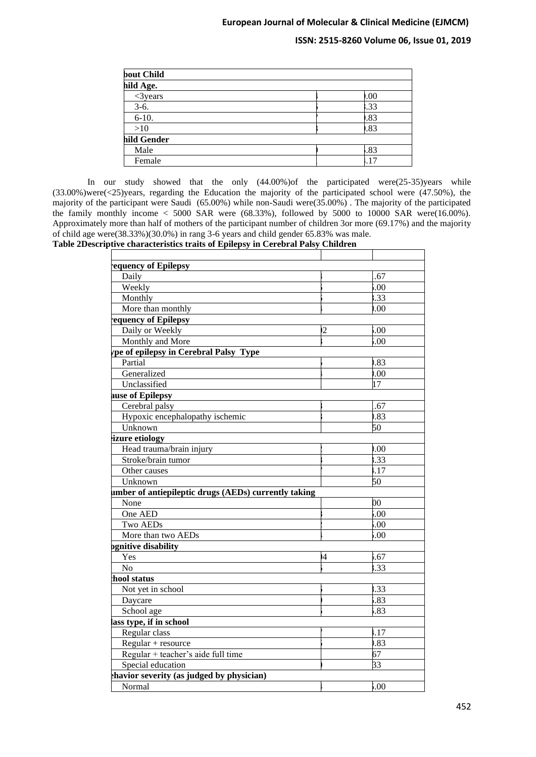# **ISSN: 2515-8260 Volume 06, Issue 01, 2019**

| bout Child  |       |  |
|-------------|-------|--|
| hild Age.   |       |  |
| $<$ 3 years | 0.00  |  |
| $3-6.$      | 33    |  |
| $6-10.$     | .83   |  |
| >10         | .83   |  |
| hild Gender |       |  |
| Male        | .83   |  |
| Female      | $+17$ |  |

In our study showed that the only (44.00%)of the participated were(25-35)years while (33.00%)were(<25)years, regarding the Education the majority of the participated school were (47.50%), the majority of the participant were Saudi (65.00%) while non-Saudi were(35.00%) . The majority of the participated the family monthly income  $<$  5000 SAR were (68.33%), followed by 5000 to 10000 SAR were(16.00%). Approximately more than half of mothers of the participant number of children 3or more (69.17%) and the majority of child age were(38.33%)(30.0%) in rang 3-6 years and child gender 65.83% was male.

**Table 2Descriptive characteristics traits of Epilepsy in Cerebral Palsy Children**

| equency of Epilepsy                                  |    |        |
|------------------------------------------------------|----|--------|
| Daily                                                |    | .67    |
| Weekly                                               |    | .00    |
| Monthly                                              |    | .33    |
| More than monthly                                    |    | .00    |
| equency of Epilepsy                                  |    |        |
| Daily or Weekly                                      | 2  | .00    |
| Monthly and More                                     |    | .00    |
| ype of epilepsy in Cerebral Palsy Type               |    |        |
| Partial                                              |    | .83    |
| Generalized                                          |    | 00.0   |
| Unclassified                                         |    | 17     |
| ause of Epilepsy                                     |    |        |
| Cerebral palsy                                       |    | .67    |
| Hypoxic encephalopathy ischemic                      |    | .83    |
| Unknown                                              |    | 50     |
| izure etiology                                       |    |        |
| Head trauma/brain injury                             |    | 0.00   |
| Stroke/brain tumor                                   |    | .33    |
| Other causes                                         |    | .17    |
| Unknown                                              |    | 50     |
| umber of antiepileptic drugs (AEDs) currently taking |    |        |
| None                                                 |    | $00\,$ |
| One AED                                              |    | .00    |
| <b>Two AEDs</b>                                      |    | .00    |
| More than two AEDs                                   |    | .00    |
| ognitive disability                                  |    |        |
| Yes                                                  | 14 | .67    |
| N <sub>o</sub>                                       |    | .33    |
| hool status                                          |    |        |
| Not yet in school                                    |    | .33    |
| Daycare                                              |    | .83    |
| School age                                           |    | .83    |
| lass type, if in school                              |    |        |
| Regular class                                        |    | $-17$  |
| $Regular + resource$                                 |    | .83    |
| Regular + teacher's aide full time                   |    | 67     |
| Special education                                    |    | 33     |
| chavior severity (as judged by physician)            |    |        |
| Normal                                               |    | 00.5   |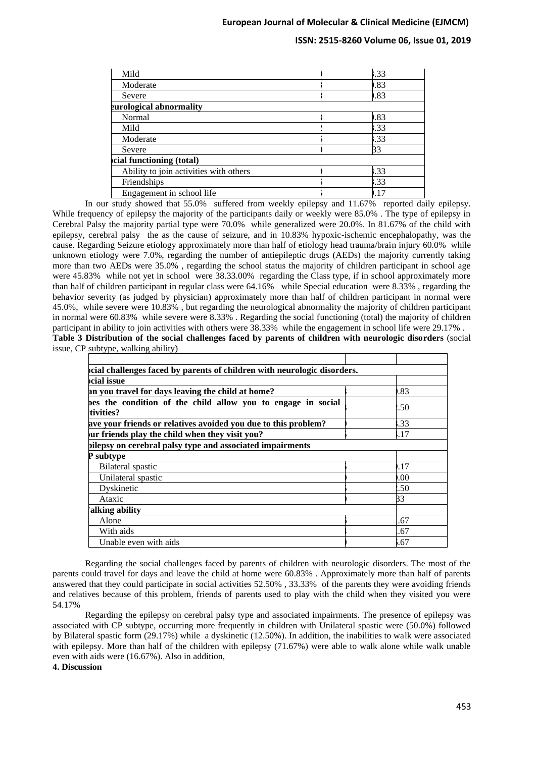# **ISSN: 2515-8260 Volume 06, Issue 01, 2019**

| Mild                                   | .33 |
|----------------------------------------|-----|
| Moderate                               | .83 |
| Severe                                 | .83 |
| eurological abnormality                |     |
| Normal                                 | .83 |
| Mild                                   | .33 |
| Moderate                               | .33 |
| Severe                                 | 33  |
| cial functioning (total)               |     |
| Ability to join activities with others | .33 |
| Friendships                            | .33 |
| Engagement in school life              | .17 |

In our study showed that 55.0% suffered from weekly epilepsy and 11.67% reported daily epilepsy. While frequency of epilepsy the majority of the participants daily or weekly were 85.0%. The type of epilepsy in Cerebral Palsy the majority partial type were 70.0% while generalized were 20.0%. In 81.67% of the child with epilepsy, cerebral palsy the as the cause of seizure, and in 10.83% hypoxic-ischemic encephalopathy, was the cause. Regarding Seizure etiology approximately more than half of etiology head trauma/brain injury 60.0% while unknown etiology were 7.0%, regarding the number of antiepileptic drugs (AEDs) the majority currently taking more than two AEDs were 35.0% , regarding the school status the majority of children participant in school age were 45.83% while not yet in school were 38.33.00% regarding the Class type, if in school approximately more than half of children participant in regular class were 64.16% while Special education were 8.33% , regarding the behavior severity (as judged by physician) approximately more than half of children participant in normal were 45.0%, while severe were 10.83% , but regarding the neurological abnormality the majority of children participant in normal were 60.83% while severe were 8.33% . Regarding the social functioning (total) the majority of children participant in ability to join activities with others were 38.33% while the engagement in school life were 29.17% . **Table 3 Distribution of the social challenges faced by parents of children with neurologic disorders** (social issue, CP subtype, walking ability)

| cial challenges faced by parents of children with neurologic disorders.   |      |
|---------------------------------------------------------------------------|------|
| <b>ocial issue</b>                                                        |      |
| an you travel for days leaving the child at home?                         | 1.83 |
| bes the condition of the child allow you to engage in social<br>tivities? | 2.50 |
| ave your friends or relatives avoided you due to this problem?            | .33  |
| ur friends play the child when they visit you?                            | l.17 |
| pilepsy on cerebral palsy type and associated impairments                 |      |
| P subtype                                                                 |      |
| Bilateral spastic                                                         | .17  |
| Unilateral spastic                                                        | 0.00 |
| Dyskinetic                                                                | 2.50 |
| Ataxic                                                                    | 33   |
| alking ability                                                            |      |
| Alone                                                                     | .67  |
| With aids                                                                 | .67  |
| Unable even with aids                                                     | 5.67 |

Regarding the social challenges faced by parents of children with neurologic disorders. The most of the parents could travel for days and leave the child at home were 60.83% . Approximately more than half of parents answered that they could participate in social activities 52.50% , 33.33% of the parents they were avoiding friends and relatives because of this problem, friends of parents used to play with the child when they visited you were 54.17%

Regarding the epilepsy on cerebral palsy type and associated impairments. The presence of epilepsy was associated with CP subtype, occurring more frequently in children with Unilateral spastic were (50.0%) followed by Bilateral spastic form (29.17%) while a dyskinetic (12.50%). In addition, the inabilities to walk were associated with epilepsy. More than half of the children with epilepsy (71.67%) were able to walk alone while walk unable even with aids were (16.67%). Also in addition,

**4. Discussion**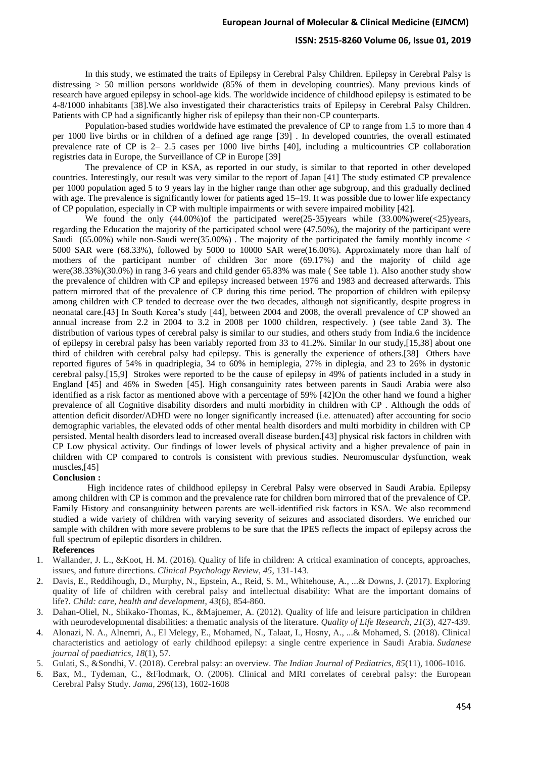#### **ISSN: 2515-8260 Volume 06, Issue 01, 2019**

In this study, we estimated the traits of Epilepsy in Cerebral Palsy Children. Epilepsy in Cerebral Palsy is distressing  $> 50$  million persons worldwide (85% of them in developing countries). Many previous kinds of research have argued epilepsy in school-age kids. The worldwide incidence of childhood epilepsy is estimated to be 4-8/1000 inhabitants [38].We also investigated their characteristics traits of Epilepsy in Cerebral Palsy Children. Patients with CP had a significantly higher risk of epilepsy than their non-CP counterparts .

Population-based studies worldwide have estimated the prevalence of CP to range from 1.5 to more than 4 per 1000 live births or in children of a defined age range [39] . In developed countries, the overall estimated prevalence rate of CP is 2– 2.5 cases per 1000 live births [40], including a multicountries CP collaboration registries data in Europe, the Surveillance of CP in Europe [39]

The prevalence of CP in KSA, as reported in our study, is similar to that reported in other developed countries. Interestingly, our result was very similar to the report of Japan [41] The study estimated CP prevalence per 1000 population aged 5 to 9 years lay in the higher range than other age subgroup, and this gradually declined with age. The prevalence is significantly lower for patients aged 15–19. It was possible due to lower life expectancy of CP population, especially in CP with multiple impairments or with severe impaired mobility [42].

We found the only  $(44.00\%)$  of the participated were $(25-35)$  years while  $(33.00\%)$  were $(<25)$  years, regarding the Education the majority of the participated school were (47.50%), the majority of the participant were Saudi (65.00%) while non-Saudi were  $(35.00\%)$ . The majority of the participated the family monthly income < 5000 SAR were (68.33%), followed by 5000 to 10000 SAR were(16.00%). Approximately more than half of mothers of the participant number of children 3or more (69.17%) and the majority of child age were(38.33%)(30.0%) in rang 3-6 years and child gender 65.83% was male (See table 1). Also another study show the prevalence of children with CP and epilepsy increased between 1976 and 1983 and decreased afterwards. This pattern mirrored that of the prevalence of CP during this time period. The proportion of children with epilepsy among children with CP tended to decrease over the two decades, although not significantly, despite progress in neonatal care.[43] In South Korea's study [44], between 2004 and 2008, the overall prevalence of CP showed an annual increase from 2.2 in 2004 to 3.2 in 2008 per 1000 children, respectively. ) (see table 2and 3). The distribution of various types of cerebral palsy is similar to our studies, and others study from India.6 the incidence of epilepsy in cerebral palsy has been variably reported from 33 to 41.2%. Similar In our study,[15,38] about one third of children with cerebral palsy had epilepsy. This is generally the experience of others.[38] Others have reported figures of 54% in quadriplegia, 34 to 60% in hemiplegia, 27% in diplegia, and 23 to 26% in dystonic cerebral palsy.[15,9] Strokes were reported to be the cause of epilepsy in 49% of patients included in a study in England [45] and 46% in Sweden [45]. High consanguinity rates between parents in Saudi Arabia were also identified as a risk factor as mentioned above with a percentage of 59% [42]On the other hand we found a higher prevalence of all Cognitive disability disorders and multi morbidity in children with CP . Although the odds of attention deficit disorder/ADHD were no longer significantly increased (i.e. attenuated) after accounting for socio demographic variables, the elevated odds of other mental health disorders and multi morbidity in children with CP persisted. Mental health disorders lead to increased overall disease burden.[43] physical risk factors in children with CP Low physical activity. Our findings of lower levels of physical activity and a higher prevalence of pain in children with CP compared to controls is consistent with previous studies. Neuromuscular dysfunction, weak muscles,[45]

#### **Conclusion :**

High incidence rates of childhood epilepsy in Cerebral Palsy were observed in Saudi Arabia. Epilepsy among children with CP is common and the prevalence rate for children born mirrored that of the prevalence of CP. Family History and consanguinity between parents are well-identified risk factors in KSA. We also recommend studied a wide variety of children with varying severity of seizures and associated disorders. We enriched our sample with children with more severe problems to be sure that the IPES reflects the impact of epilepsy across the full spectrum of epileptic disorders in children.

#### **References**

- 1. Wallander, J. L., &Koot, H. M. (2016). Quality of life in children: A critical examination of concepts, approaches, issues, and future directions. *Clinical Psychology Review*, *45*, 131-143.
- 2. Davis, E., Reddihough, D., Murphy, N., Epstein, A., Reid, S. M., Whitehouse, A., ...& Downs, J. (2017). Exploring quality of life of children with cerebral palsy and intellectual disability: What are the important domains of life?. *Child: care, health and development*, *43*(6), 854-860.
- 3. Dahan-Oliel, N., Shikako-Thomas, K., &Majnemer, A. (2012). Quality of life and leisure participation in children with neurodevelopmental disabilities: a thematic analysis of the literature. *Quality of Life Research*, *21*(3), 427-439.
- 4. Alonazi, N. A., Alnemri, A., El Melegy, E., Mohamed, N., Talaat, I., Hosny, A., ...& Mohamed, S. (2018). Clinical characteristics and aetiology of early childhood epilepsy: a single centre experience in Saudi Arabia. *Sudanese journal of paediatrics*, *18*(1), 57.
- 5. Gulati, S., &Sondhi, V. (2018). Cerebral palsy: an overview. *The Indian Journal of Pediatrics*, *85*(11), 1006-1016.
- 6. Bax, M., Tydeman, C., &Flodmark, O. (2006). Clinical and MRI correlates of cerebral palsy: the European Cerebral Palsy Study. *Jama*, *296*(13), 1602-1608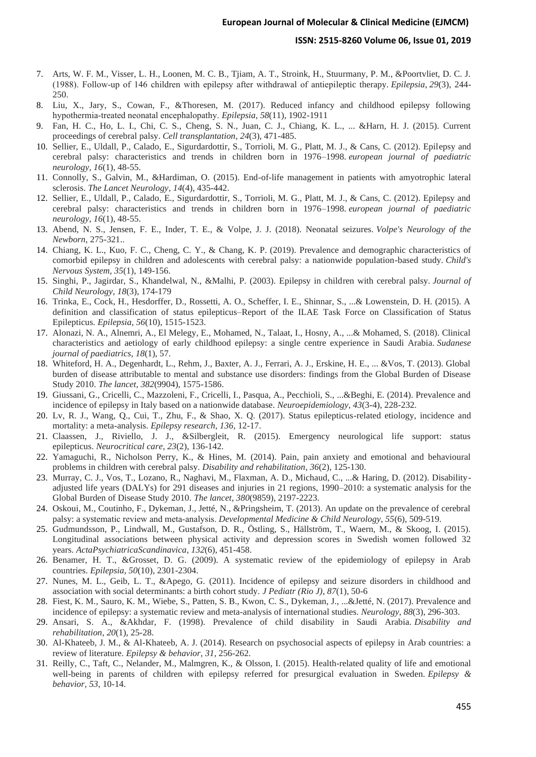#### **ISSN: 2515-8260 Volume 06, Issue 01, 2019**

- 7. Arts, W. F. M., Visser, L. H., Loonen, M. C. B., Tjiam, A. T., Stroink, H., Stuurmany, P. M., &Poortvliet, D. C. J. (1988). Follow‐up of 146 children with epilepsy after withdrawal of antiepileptic therapy. *Epilepsia*, *29*(3), 244- 250.
- 8. Liu, X., Jary, S., Cowan, F., &Thoresen, M. (2017). Reduced infancy and childhood epilepsy following hypothermia‐treated neonatal encephalopathy. *Epilepsia*, *58*(11), 1902-1911
- 9. Fan, H. C., Ho, L. I., Chi, C. S., Cheng, S. N., Juan, C. J., Chiang, K. L., ... &Harn, H. J. (2015). Current proceedings of cerebral palsy. *Cell transplantation*, *24*(3), 471-485.
- 10. Sellier, E., Uldall, P., Calado, E., Sigurdardottir, S., Torrioli, M. G., Platt, M. J., & Cans, C. (2012). Epilepsy and cerebral palsy: characteristics and trends in children born in 1976–1998. *european journal of paediatric neurology*, *16*(1), 48-55.
- 11. Connolly, S., Galvin, M., &Hardiman, O. (2015). End-of-life management in patients with amyotrophic lateral sclerosis. *The Lancet Neurology*, *14*(4), 435-442.
- 12. Sellier, E., Uldall, P., Calado, E., Sigurdardottir, S., Torrioli, M. G., Platt, M. J., & Cans, C. (2012). Epilepsy and cerebral palsy: characteristics and trends in children born in 1976–1998. *european journal of paediatric neurology*, *16*(1), 48-55.
- 13. Abend, N. S., Jensen, F. E., Inder, T. E., & Volpe, J. J. (2018). Neonatal seizures. *Volpe's Neurology of the Newborn*, 275-321..
- 14. Chiang, K. L., Kuo, F. C., Cheng, C. Y., & Chang, K. P. (2019). Prevalence and demographic characteristics of comorbid epilepsy in children and adolescents with cerebral palsy: a nationwide population-based study. *Child's Nervous System*, *35*(1), 149-156.
- 15. Singhi, P., Jagirdar, S., Khandelwal, N., &Malhi, P. (2003). Epilepsy in children with cerebral palsy. *Journal of Child Neurology*, *18*(3), 174-179
- 16. Trinka, E., Cock, H., Hesdorffer, D., Rossetti, A. O., Scheffer, I. E., Shinnar, S., ...& Lowenstein, D. H. (2015). A definition and classification of status epilepticus–Report of the ILAE Task Force on Classification of Status Epilepticus. *Epilepsia*, *56*(10), 1515-1523.
- 17. Alonazi, N. A., Alnemri, A., El Melegy, E., Mohamed, N., Talaat, I., Hosny, A., ...& Mohamed, S. (2018). Clinical characteristics and aetiology of early childhood epilepsy: a single centre experience in Saudi Arabia. *Sudanese journal of paediatrics*, *18*(1), 57.
- 18. Whiteford, H. A., Degenhardt, L., Rehm, J., Baxter, A. J., Ferrari, A. J., Erskine, H. E., ... &Vos, T. (2013). Global burden of disease attributable to mental and substance use disorders: findings from the Global Burden of Disease Study 2010. *The lancet*, *382*(9904), 1575-1586.
- 19. Giussani, G., Cricelli, C., Mazzoleni, F., Cricelli, I., Pasqua, A., Pecchioli, S., ...&Beghi, E. (2014). Prevalence and incidence of epilepsy in Italy based on a nationwide database. *Neuroepidemiology*, *43*(3-4), 228-232.
- 20. Lv, R. J., Wang, Q., Cui, T., Zhu, F., & Shao, X. Q. (2017). Status epilepticus-related etiology, incidence and mortality: a meta-analysis. *Epilepsy research*, *136*, 12-17.
- 21. Claassen, J., Riviello, J. J., &Silbergleit, R. (2015). Emergency neurological life support: status epilepticus. *Neurocritical care*, *23*(2), 136-142.
- 22. Yamaguchi, R., Nicholson Perry, K., & Hines, M. (2014). Pain, pain anxiety and emotional and behavioural problems in children with cerebral palsy. *Disability and rehabilitation*, *36*(2), 125-130.
- 23. Murray, C. J., Vos, T., Lozano, R., Naghavi, M., Flaxman, A. D., Michaud, C., ...& Haring, D. (2012). Disabilityadjusted life years (DALYs) for 291 diseases and injuries in 21 regions, 1990–2010: a systematic analysis for the Global Burden of Disease Study 2010. *The lancet*, *380*(9859), 2197-2223.
- 24. Oskoui, M., Coutinho, F., Dykeman, J., Jetté, N., &Pringsheim, T. (2013). An update on the prevalence of cerebral palsy: a systematic review and meta‐analysis. *Developmental Medicine & Child Neurology*, *55*(6), 509-519.
- 25. Gudmundsson, P., Lindwall, M., Gustafson, D. R., Östling, S., Hällström, T., Waern, M., & Skoog, I. (2015). Longitudinal associations between physical activity and depression scores in Swedish women followed 32 years. *ActaPsychiatricaScandinavica*, *132*(6), 451-458.
- 26. Benamer, H. T., &Grosset, D. G. (2009). A systematic review of the epidemiology of epilepsy in Arab countries. *Epilepsia*, *50*(10), 2301-2304.
- 27. Nunes, M. L., Geib, L. T., &Apego, G. (2011). Incidence of epilepsy and seizure disorders in childhood and association with social determinants: a birth cohort study. *J Pediatr (Rio J)*, *87*(1), 50-6
- 28. Fiest, K. M., Sauro, K. M., Wiebe, S., Patten, S. B., Kwon, C. S., Dykeman, J., ...&Jetté, N. (2017). Prevalence and incidence of epilepsy: a systematic review and meta-analysis of international studies. *Neurology*, *88*(3), 296-303.
- 29. Ansari, S. A., &Akhdar, F. (1998). Prevalence of child disability in Saudi Arabia. *Disability and rehabilitation*, *20*(1), 25-28.
- 30. Al-Khateeb, J. M., & Al-Khateeb, A. J. (2014). Research on psychosocial aspects of epilepsy in Arab countries: a review of literature. *Epilepsy & behavior*, *31*, 256-262.
- 31. Reilly, C., Taft, C., Nelander, M., Malmgren, K., & Olsson, I. (2015). Health-related quality of life and emotional well-being in parents of children with epilepsy referred for presurgical evaluation in Sweden. *Epilepsy & behavior*, *53*, 10-14.